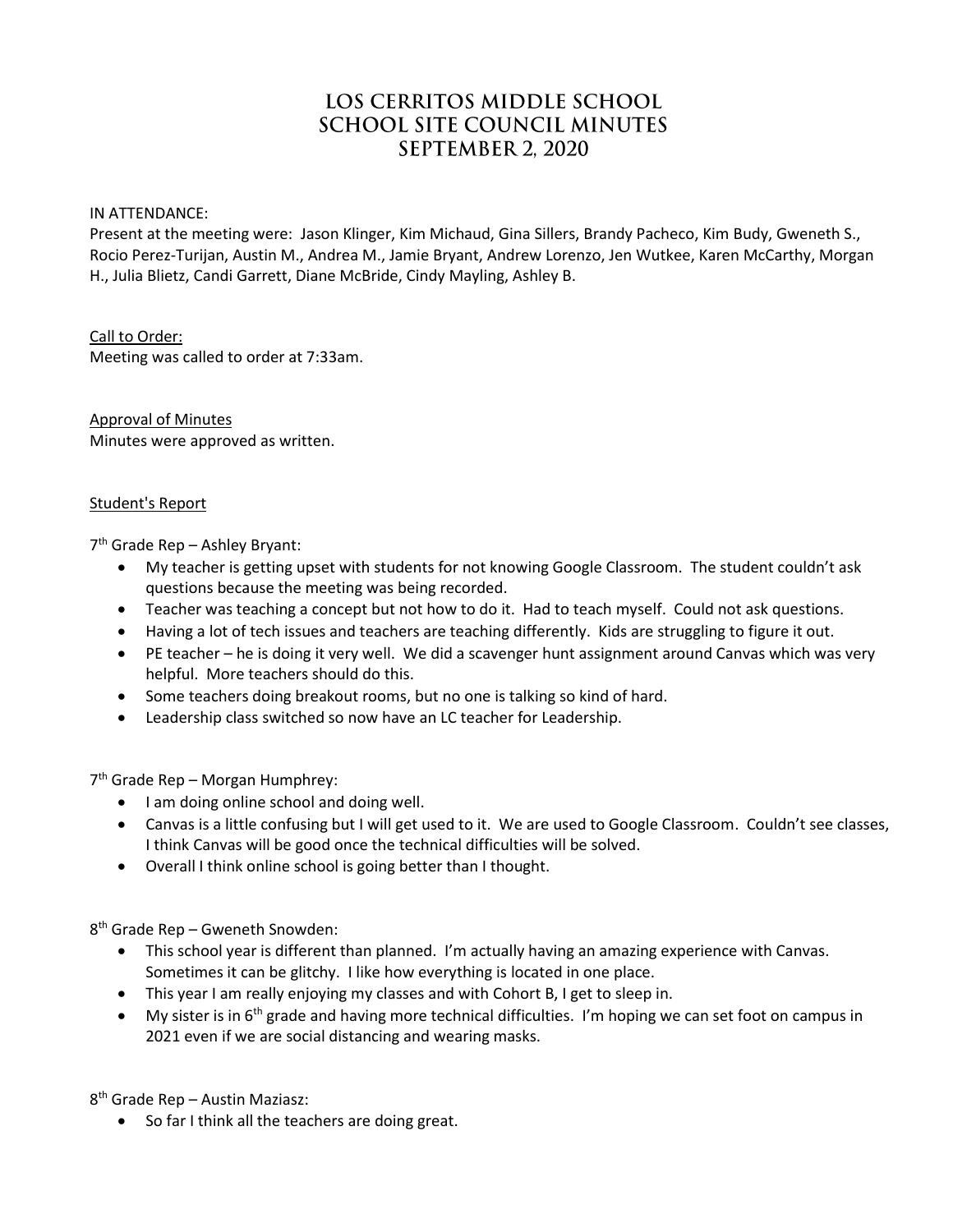# LOS CERRITOS MIDDLE SCHOOL **SCHOOL SITE COUNCIL MINUTES** SEPTEMBER 2, 2020

#### IN ATTENDANCE:

Present at the meeting were: Jason Klinger, Kim Michaud, Gina Sillers, Brandy Pacheco, Kim Budy, Gweneth S., Rocio Perez-Turijan, Austin M., Andrea M., Jamie Bryant, Andrew Lorenzo, Jen Wutkee, Karen McCarthy, Morgan H., Julia Blietz, Candi Garrett, Diane McBride, Cindy Mayling, Ashley B.

#### Call to Order:

Meeting was called to order at 7:33am.

Approval of Minutes Minutes were approved as written.

#### Student's Report

7 th Grade Rep – Ashley Bryant:

- My teacher is getting upset with students for not knowing Google Classroom. The student couldn't ask questions because the meeting was being recorded.
- Teacher was teaching a concept but not how to do it. Had to teach myself. Could not ask questions.
- Having a lot of tech issues and teachers are teaching differently. Kids are struggling to figure it out.
- PE teacher he is doing it very well. We did a scavenger hunt assignment around Canvas which was very helpful. More teachers should do this.
- Some teachers doing breakout rooms, but no one is talking so kind of hard.
- Leadership class switched so now have an LC teacher for Leadership.

7<sup>th</sup> Grade Rep - Morgan Humphrey:

- I am doing online school and doing well.
- Canvas is a little confusing but I will get used to it. We are used to Google Classroom. Couldn't see classes, I think Canvas will be good once the technical difficulties will be solved.
- Overall I think online school is going better than I thought.

8 th Grade Rep – Gweneth Snowden:

- This school year is different than planned. I'm actually having an amazing experience with Canvas. Sometimes it can be glitchy. I like how everything is located in one place.
- This year I am really enjoying my classes and with Cohort B, I get to sleep in.
- My sister is in  $6<sup>th</sup>$  grade and having more technical difficulties. I'm hoping we can set foot on campus in 2021 even if we are social distancing and wearing masks.

8 th Grade Rep – Austin Maziasz:

So far I think all the teachers are doing great.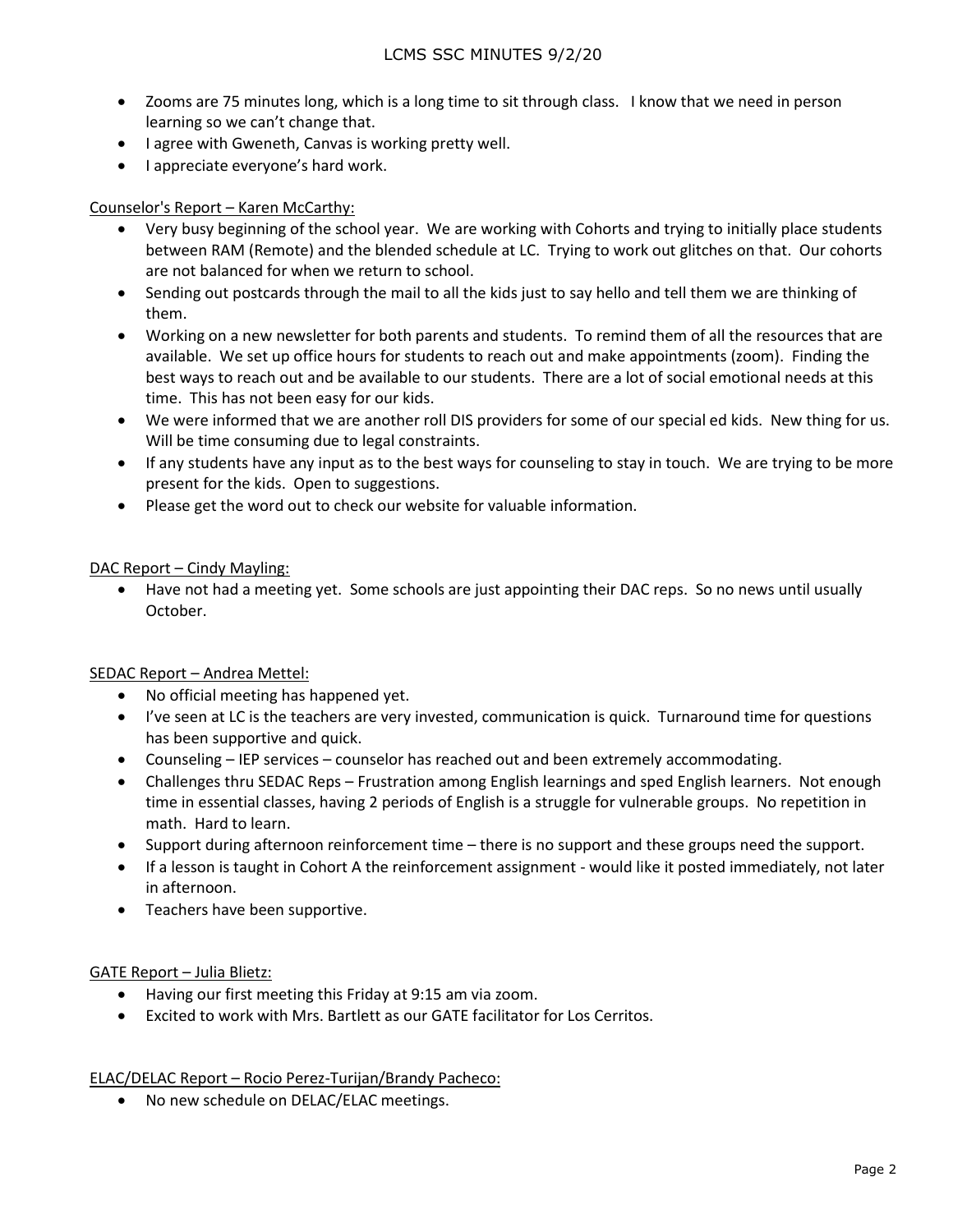- Zooms are 75 minutes long, which is a long time to sit through class. I know that we need in person learning so we can't change that.
- I agree with Gweneth, Canvas is working pretty well.
- I appreciate everyone's hard work.

## Counselor's Report – Karen McCarthy:

- Very busy beginning of the school year. We are working with Cohorts and trying to initially place students between RAM (Remote) and the blended schedule at LC. Trying to work out glitches on that. Our cohorts are not balanced for when we return to school.
- Sending out postcards through the mail to all the kids just to say hello and tell them we are thinking of them.
- Working on a new newsletter for both parents and students. To remind them of all the resources that are available. We set up office hours for students to reach out and make appointments (zoom). Finding the best ways to reach out and be available to our students. There are a lot of social emotional needs at this time. This has not been easy for our kids.
- We were informed that we are another roll DIS providers for some of our special ed kids. New thing for us. Will be time consuming due to legal constraints.
- If any students have any input as to the best ways for counseling to stay in touch. We are trying to be more present for the kids. Open to suggestions.
- Please get the word out to check our website for valuable information.

### DAC Report – Cindy Mayling:

 Have not had a meeting yet. Some schools are just appointing their DAC reps. So no news until usually October.

### SEDAC Report – Andrea Mettel:

- No official meeting has happened yet.
- I've seen at LC is the teachers are very invested, communication is quick. Turnaround time for questions has been supportive and quick.
- Counseling IEP services counselor has reached out and been extremely accommodating.
- Challenges thru SEDAC Reps Frustration among English learnings and sped English learners. Not enough time in essential classes, having 2 periods of English is a struggle for vulnerable groups. No repetition in math. Hard to learn.
- Support during afternoon reinforcement time there is no support and these groups need the support.
- If a lesson is taught in Cohort A the reinforcement assignment would like it posted immediately, not later in afternoon.
- Teachers have been supportive.

### GATE Report – Julia Blietz:

- Having our first meeting this Friday at 9:15 am via zoom.
- Excited to work with Mrs. Bartlett as our GATE facilitator for Los Cerritos.

### ELAC/DELAC Report – Rocio Perez-Turijan/Brandy Pacheco:

• No new schedule on DELAC/ELAC meetings.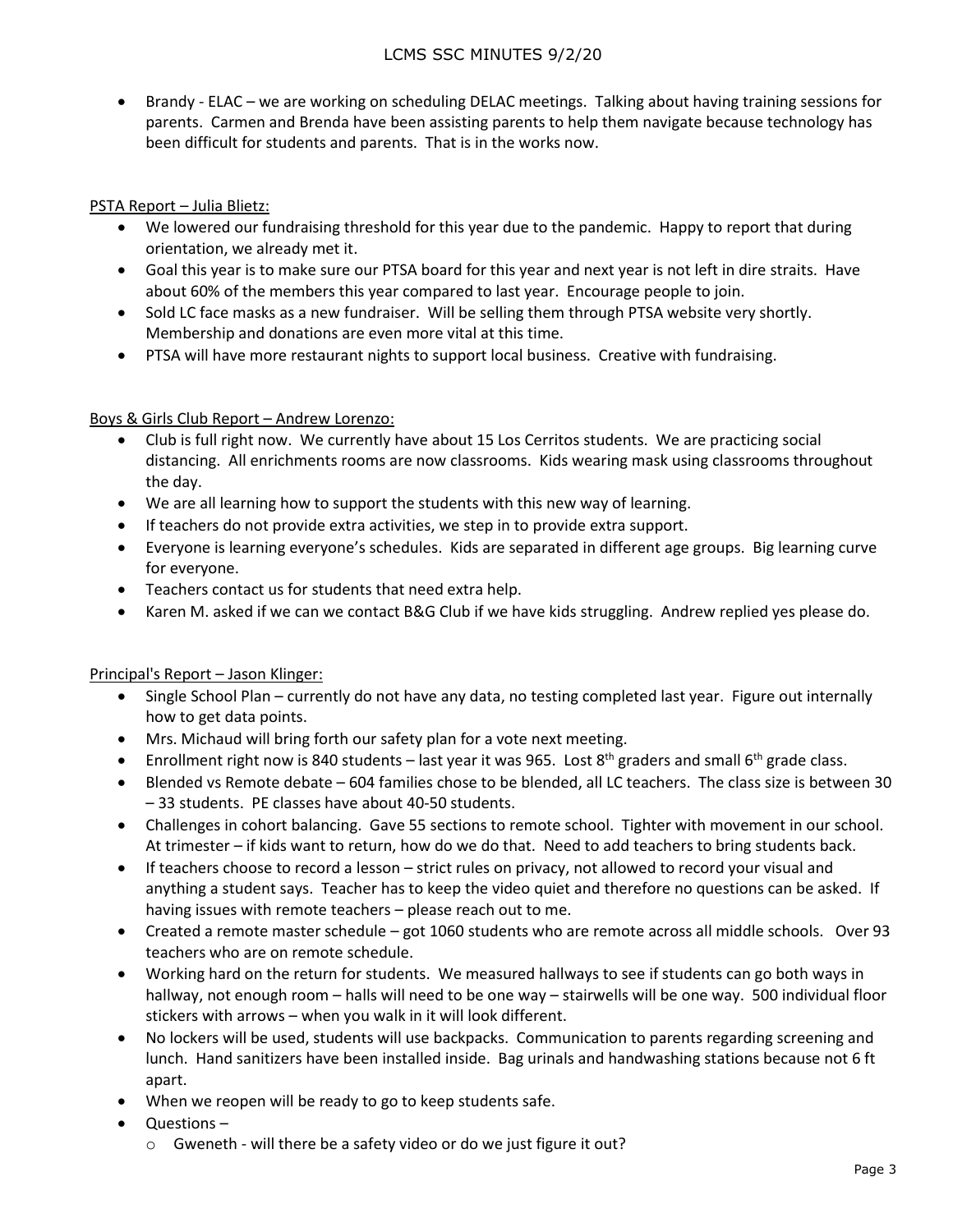# LCMS SSC MINUTES 9/2/20

 Brandy - ELAC – we are working on scheduling DELAC meetings. Talking about having training sessions for parents. Carmen and Brenda have been assisting parents to help them navigate because technology has been difficult for students and parents. That is in the works now.

## PSTA Report – Julia Blietz:

- We lowered our fundraising threshold for this year due to the pandemic. Happy to report that during orientation, we already met it.
- Goal this year is to make sure our PTSA board for this year and next year is not left in dire straits. Have about 60% of the members this year compared to last year. Encourage people to join.
- Sold LC face masks as a new fundraiser. Will be selling them through PTSA website very shortly. Membership and donations are even more vital at this time.
- PTSA will have more restaurant nights to support local business. Creative with fundraising.

## Boys & Girls Club Report – Andrew Lorenzo:

- Club is full right now. We currently have about 15 Los Cerritos students. We are practicing social distancing. All enrichments rooms are now classrooms. Kids wearing mask using classrooms throughout the day.
- We are all learning how to support the students with this new way of learning.
- If teachers do not provide extra activities, we step in to provide extra support.
- Everyone is learning everyone's schedules. Kids are separated in different age groups. Big learning curve for everyone.
- Teachers contact us for students that need extra help.
- Karen M. asked if we can we contact B&G Club if we have kids struggling. Andrew replied yes please do.

### Principal's Report – Jason Klinger:

- Single School Plan currently do not have any data, no testing completed last year. Figure out internally how to get data points.
- Mrs. Michaud will bring forth our safety plan for a vote next meeting.
- **•** Enrollment right now is 840 students last year it was 965. Lost  $8<sup>th</sup>$  graders and small  $6<sup>th</sup>$  grade class.
- Blended vs Remote debate 604 families chose to be blended, all LC teachers. The class size is between 30 – 33 students. PE classes have about 40-50 students.
- Challenges in cohort balancing. Gave 55 sections to remote school. Tighter with movement in our school. At trimester – if kids want to return, how do we do that. Need to add teachers to bring students back.
- If teachers choose to record a lesson strict rules on privacy, not allowed to record your visual and anything a student says. Teacher has to keep the video quiet and therefore no questions can be asked. If having issues with remote teachers – please reach out to me.
- Created a remote master schedule got 1060 students who are remote across all middle schools. Over 93 teachers who are on remote schedule.
- Working hard on the return for students. We measured hallways to see if students can go both ways in hallway, not enough room – halls will need to be one way – stairwells will be one way. 500 individual floor stickers with arrows – when you walk in it will look different.
- No lockers will be used, students will use backpacks. Communication to parents regarding screening and lunch. Hand sanitizers have been installed inside. Bag urinals and handwashing stations because not 6 ft apart.
- When we reopen will be ready to go to keep students safe.
- Questions
	- o Gweneth will there be a safety video or do we just figure it out?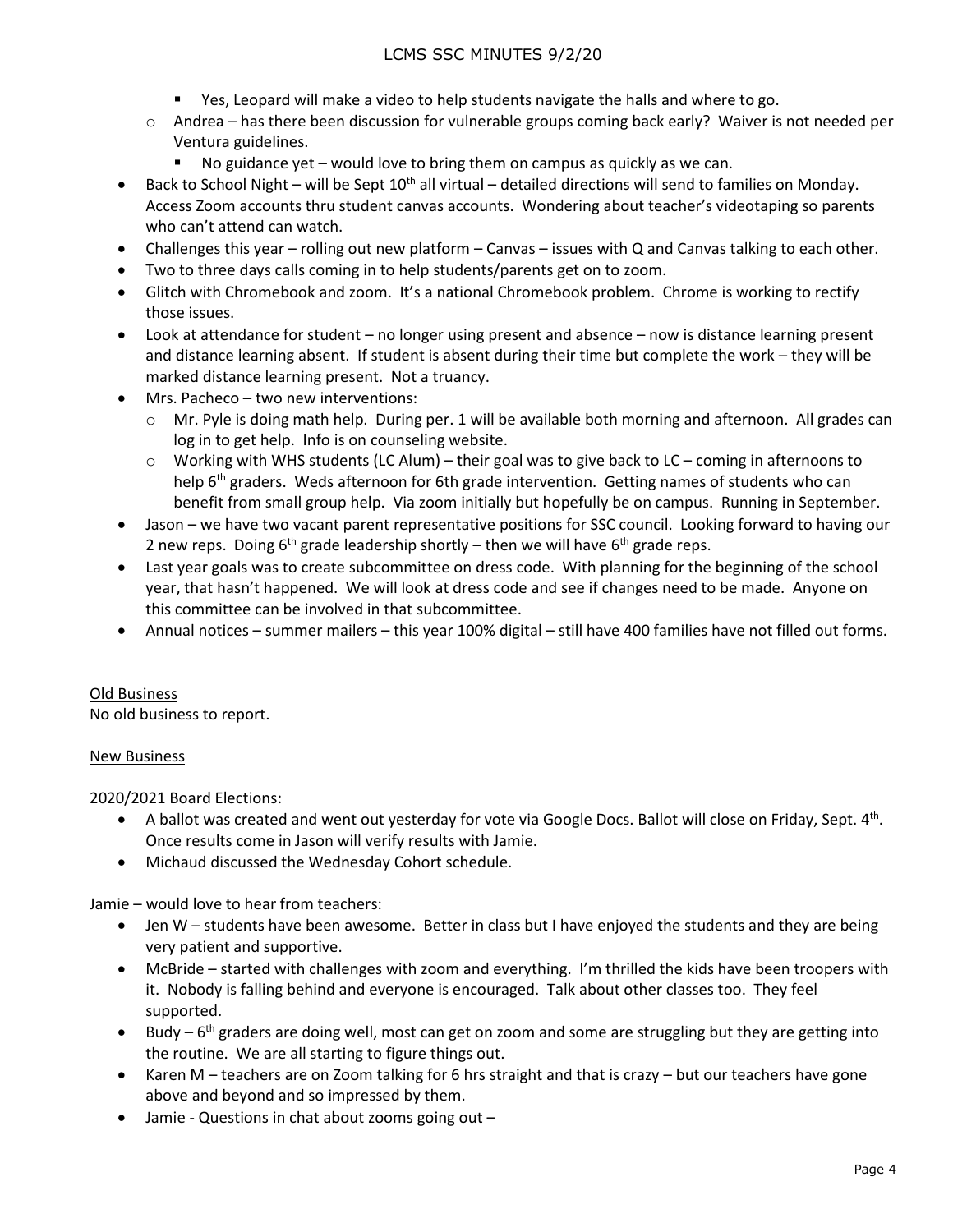- Yes, Leopard will make a video to help students navigate the halls and where to go.
- o Andrea has there been discussion for vulnerable groups coming back early? Waiver is not needed per Ventura guidelines.
	- No guidance yet would love to bring them on campus as quickly as we can.
- **Back to School Night will be Sept 10<sup>th</sup> all virtual detailed directions will send to families on Monday.** Access Zoom accounts thru student canvas accounts. Wondering about teacher's videotaping so parents who can't attend can watch.
- Challenges this year rolling out new platform Canvas issues with Q and Canvas talking to each other.
- Two to three days calls coming in to help students/parents get on to zoom.
- Glitch with Chromebook and zoom. It's a national Chromebook problem. Chrome is working to rectify those issues.
- Look at attendance for student no longer using present and absence now is distance learning present and distance learning absent. If student is absent during their time but complete the work – they will be marked distance learning present. Not a truancy.
- Mrs. Pacheco two new interventions:
	- o Mr. Pyle is doing math help. During per. 1 will be available both morning and afternoon. All grades can log in to get help. Info is on counseling website.
	- o Working with WHS students (LC Alum) their goal was to give back to LC coming in afternoons to help 6<sup>th</sup> graders. Weds afternoon for 6th grade intervention. Getting names of students who can benefit from small group help. Via zoom initially but hopefully be on campus. Running in September.
- Jason we have two vacant parent representative positions for SSC council. Looking forward to having our 2 new reps. Doing  $6<sup>th</sup>$  grade leadership shortly – then we will have  $6<sup>th</sup>$  grade reps.
- Last year goals was to create subcommittee on dress code. With planning for the beginning of the school year, that hasn't happened. We will look at dress code and see if changes need to be made. Anyone on this committee can be involved in that subcommittee.
- Annual notices summer mailers this year 100% digital still have 400 families have not filled out forms.

# Old Business

No old business to report.

# New Business

2020/2021 Board Elections:

- A ballot was created and went out yesterday for vote via Google Docs. Ballot will close on Friday, Sept. 4<sup>th</sup>. Once results come in Jason will verify results with Jamie.
- Michaud discussed the Wednesday Cohort schedule.

Jamie – would love to hear from teachers:

- Jen W students have been awesome. Better in class but I have enjoyed the students and they are being very patient and supportive.
- McBride started with challenges with zoom and everything. I'm thrilled the kids have been troopers with it. Nobody is falling behind and everyone is encouraged. Talk about other classes too. They feel supported.
- Budy 6<sup>th</sup> graders are doing well, most can get on zoom and some are struggling but they are getting into the routine. We are all starting to figure things out.
- Karen M teachers are on Zoom talking for 6 hrs straight and that is crazy but our teachers have gone above and beyond and so impressed by them.
- Jamie Questions in chat about zooms going out -